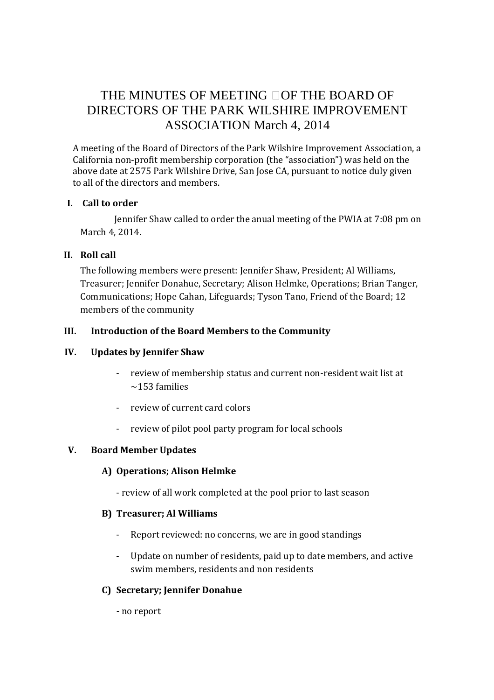# THE MINUTES OF MEETING OF THE BOARD OF DIRECTORS OF THE PARK WILSHIRE IMPROVEMENT ASSOCIATION March 4, 2014

A meeting of the Board of Directors of the Park Wilshire Improvement Association, a California non-profit membership corporation (the "association") was held on the above date at 2575 Park Wilshire Drive, San Jose CA, pursuant to notice duly given to all of the directors and members.

#### **I. Call to order**

 Jennifer Shaw called to order the anual meeting of the PWIA at 7:08 pm on March 4, 2014.

# **II. Roll call**

The following members were present: Jennifer Shaw, President; Al Williams, Treasurer; Jennifer Donahue, Secretary; Alison Helmke, Operations; Brian Tanger, Communications; Hope Cahan, Lifeguards; Tyson Tano, Friend of the Board; 12 members of the community

# **III. Introduction of the Board Members to the Community**

## **IV. Updates by Jennifer Shaw**

- review of membership status and current non-resident wait list at  $\sim$ 153 families
- review of current card colors
- review of pilot pool party program for local schools

# **V. Board Member Updates**

#### **A) Operations; Alison Helmke**

- review of all work completed at the pool prior to last season

#### **B) Treasurer; Al Williams**

- Report reviewed: no concerns, we are in good standings
- Update on number of residents, paid up to date members, and active swim members, residents and non residents

# **C) Secretary; Jennifer Donahue**

**-** no report